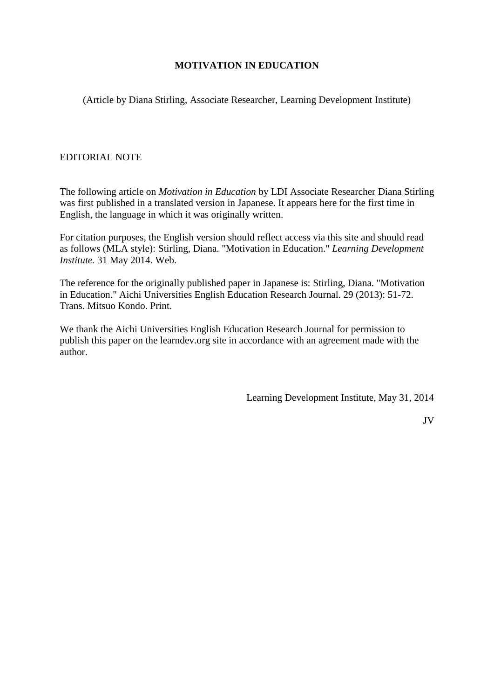# **MOTIVATION IN EDUCATION**

(Article by Diana Stirling, Associate Researcher, Learning Development Institute)

# EDITORIAL NOTE

The following article on *Motivation in Education* by LDI Associate Researcher Diana Stirling was first published in a translated version in Japanese. It appears here for the first time in English, the language in which it was originally written.

For citation purposes, the English version should reflect access via this site and should read as follows (MLA style): Stirling, Diana. "Motivation in Education." *Learning Development Institute.* 31 May 2014. Web.

The reference for the originally published paper in Japanese is: Stirling, Diana. "Motivation in Education." Aichi Universities English Education Research Journal. 29 (2013): 51-72. Trans. Mitsuo Kondo. Print.

We thank the Aichi Universities English Education Research Journal for permission to publish this paper on the learndev.org site in accordance with an agreement made with the author.

Learning Development Institute, May 31, 2014

JV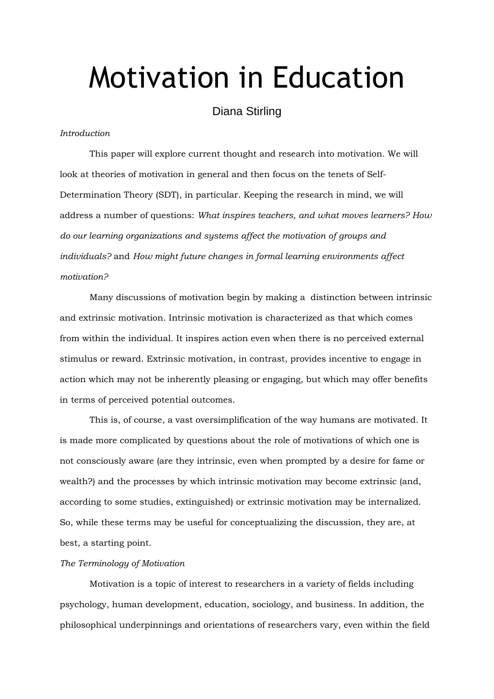# Motivation in Education

# Diana Stirling

## *Introduction*

This paper will explore current thought and research into motivation. We will look at theories of motivation in general and then focus on the tenets of Self-Determination Theory (SDT), in particular. Keeping the research in mind, we will address a number of questions: *What inspires teachers, and what moves learners? How do our learning organizations and systems affect the motivation of groups and individuals?* and *How might future changes in formal learning environments affect motivation?*

Many discussions of motivation begin by making a distinction between intrinsic and extrinsic motivation. Intrinsic motivation is characterized as that which comes from within the individual. It inspires action even when there is no perceived external stimulus or reward. Extrinsic motivation, in contrast, provides incentive to engage in action which may not be inherently pleasing or engaging, but which may offer benefits in terms of perceived potential outcomes.

This is, of course, a vast oversimplification of the way humans are motivated. It is made more complicated by questions about the role of motivations of which one is not consciously aware (are they intrinsic, even when prompted by a desire for fame or wealth?) and the processes by which intrinsic motivation may become extrinsic (and, according to some studies, extinguished) or extrinsic motivation may be internalized. So, while these terms may be useful for conceptualizing the discussion, they are, at best, a starting point.

#### *The Terminology of Motivation*

Motivation is a topic of interest to researchers in a variety of fields including psychology, human development, education, sociology, and business. In addition, the philosophical underpinnings and orientations of researchers vary, even within the field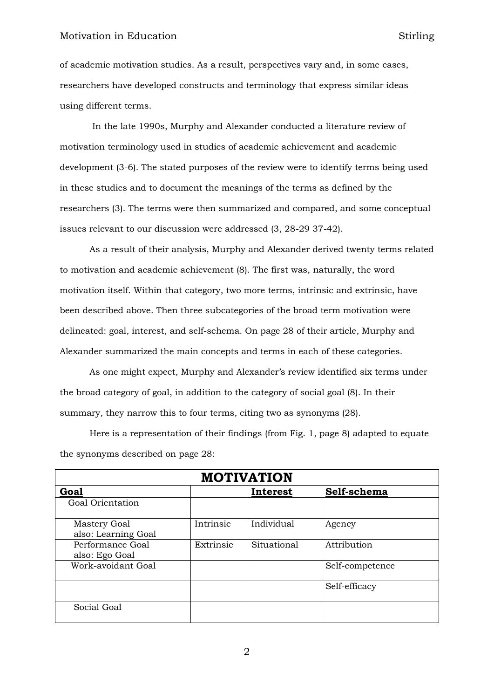# Motivation in Education Stirling

of academic motivation studies. As a result, perspectives vary and, in some cases, researchers have developed constructs and terminology that express similar ideas using different terms.

In the late 1990s, Murphy and Alexander conducted a literature review of motivation terminology used in studies of academic achievement and academic development (3-6). The stated purposes of the review were to identify terms being used in these studies and to document the meanings of the terms as defined by the researchers (3). The terms were then summarized and compared, and some conceptual issues relevant to our discussion were addressed (3, 28-29 37-42).

As a result of their analysis, Murphy and Alexander derived twenty terms related to motivation and academic achievement (8). The first was, naturally, the word motivation itself. Within that category, two more terms, intrinsic and extrinsic, have been described above. Then three subcategories of the broad term motivation were delineated: goal, interest, and self-schema. On page 28 of their article, Murphy and Alexander summarized the main concepts and terms in each of these categories.

As one might expect, Murphy and Alexander's review identified six terms under the broad category of goal, in addition to the category of social goal (8). In their summary, they narrow this to four terms, citing two as synonyms (28).

Here is a representation of their findings (from Fig. 1, page 8) adapted to equate the synonyms described on page 28:

| <b>MOTIVATION</b>                   |           |             |                 |  |  |  |
|-------------------------------------|-----------|-------------|-----------------|--|--|--|
| <b>Goal</b>                         | Interest  |             | Self-schema     |  |  |  |
| Goal Orientation                    |           |             |                 |  |  |  |
| Mastery Goal<br>also: Learning Goal | Intrinsic | Individual  | Agency          |  |  |  |
| Performance Goal<br>also: Ego Goal  | Extrinsic | Situational | Attribution     |  |  |  |
| Work-avoidant Goal                  |           |             | Self-competence |  |  |  |
|                                     |           |             | Self-efficacy   |  |  |  |
| Social Goal                         |           |             |                 |  |  |  |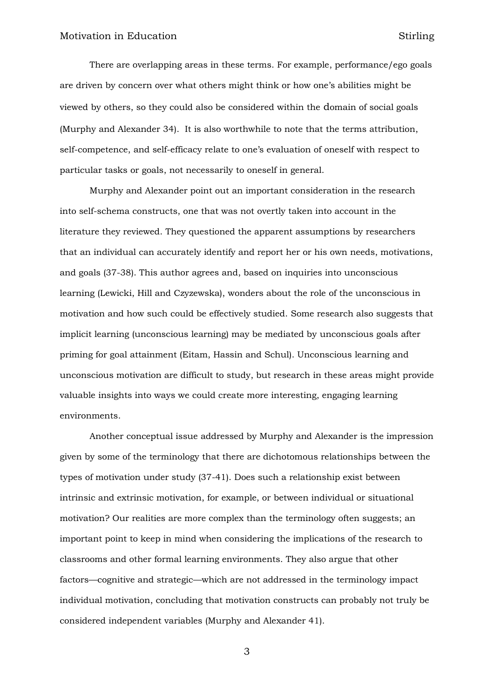There are overlapping areas in these terms. For example, performance/ego goals are driven by concern over what others might think or how one's abilities might be viewed by others, so they could also be considered within the domain of social goals (Murphy and Alexander 34). It is also worthwhile to note that the terms attribution, self-competence, and self-efficacy relate to one's evaluation of oneself with respect to particular tasks or goals, not necessarily to oneself in general.

Murphy and Alexander point out an important consideration in the research into self-schema constructs, one that was not overtly taken into account in the literature they reviewed. They questioned the apparent assumptions by researchers that an individual can accurately identify and report her or his own needs, motivations, and goals (37-38). This author agrees and, based on inquiries into unconscious learning (Lewicki, Hill and Czyzewska), wonders about the role of the unconscious in motivation and how such could be effectively studied. Some research also suggests that implicit learning (unconscious learning) may be mediated by unconscious goals after priming for goal attainment (Eitam, Hassin and Schul). Unconscious learning and unconscious motivation are difficult to study, but research in these areas might provide valuable insights into ways we could create more interesting, engaging learning environments.

Another conceptual issue addressed by Murphy and Alexander is the impression given by some of the terminology that there are dichotomous relationships between the types of motivation under study (37-41). Does such a relationship exist between intrinsic and extrinsic motivation, for example, or between individual or situational motivation? Our realities are more complex than the terminology often suggests; an important point to keep in mind when considering the implications of the research to classrooms and other formal learning environments. They also argue that other factors—cognitive and strategic—which are not addressed in the terminology impact individual motivation, concluding that motivation constructs can probably not truly be considered independent variables (Murphy and Alexander 41).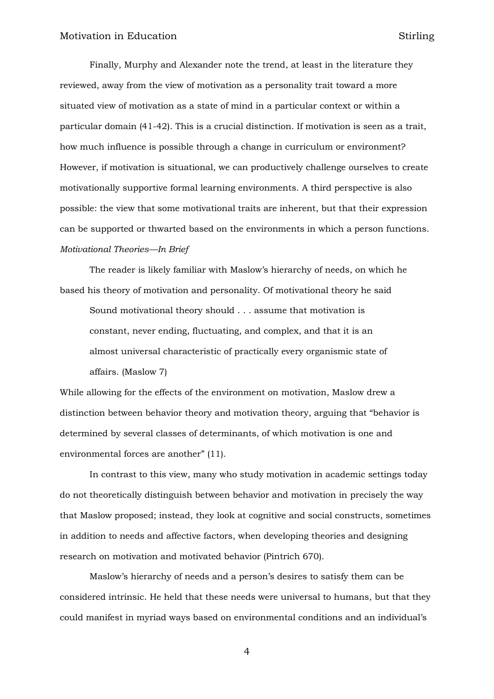Finally, Murphy and Alexander note the trend, at least in the literature they reviewed, away from the view of motivation as a personality trait toward a more situated view of motivation as a state of mind in a particular context or within a particular domain (41-42). This is a crucial distinction. If motivation is seen as a trait, how much influence is possible through a change in curriculum or environment? However, if motivation is situational, we can productively challenge ourselves to create motivationally supportive formal learning environments. A third perspective is also possible: the view that some motivational traits are inherent, but that their expression can be supported or thwarted based on the environments in which a person functions. *Motivational Theories—In Brief*

The reader is likely familiar with Maslow's hierarchy of needs, on which he based his theory of motivation and personality. Of motivational theory he said

Sound motivational theory should . . . assume that motivation is constant, never ending, fluctuating, and complex, and that it is an almost universal characteristic of practically every organismic state of affairs. (Maslow 7)

While allowing for the effects of the environment on motivation, Maslow drew a distinction between behavior theory and motivation theory, arguing that "behavior is determined by several classes of determinants, of which motivation is one and environmental forces are another" (11).

In contrast to this view, many who study motivation in academic settings today do not theoretically distinguish between behavior and motivation in precisely the way that Maslow proposed; instead, they look at cognitive and social constructs, sometimes in addition to needs and affective factors, when developing theories and designing research on motivation and motivated behavior (Pintrich 670).

Maslow's hierarchy of needs and a person's desires to satisfy them can be considered intrinsic. He held that these needs were universal to humans, but that they could manifest in myriad ways based on environmental conditions and an individual's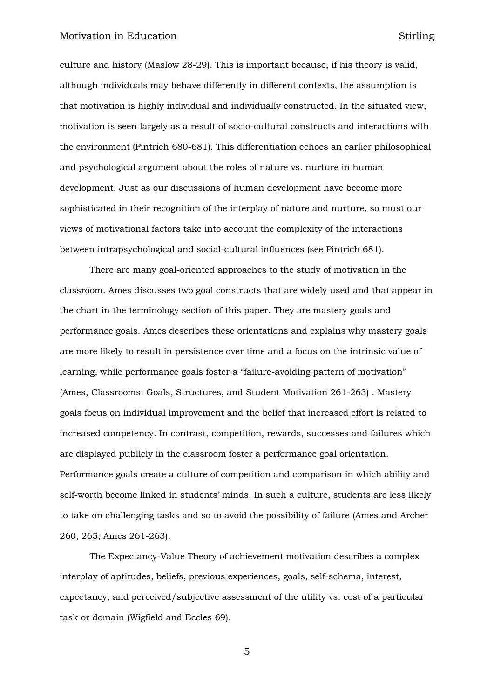# Motivation in Education Stirling

culture and history (Maslow 28-29). This is important because, if his theory is valid, although individuals may behave differently in different contexts, the assumption is that motivation is highly individual and individually constructed. In the situated view, motivation is seen largely as a result of socio-cultural constructs and interactions with the environment (Pintrich 680-681). This differentiation echoes an earlier philosophical and psychological argument about the roles of nature vs. nurture in human development. Just as our discussions of human development have become more sophisticated in their recognition of the interplay of nature and nurture, so must our views of motivational factors take into account the complexity of the interactions between intrapsychological and social-cultural influences (see Pintrich 681).

There are many goal-oriented approaches to the study of motivation in the classroom. Ames discusses two goal constructs that are widely used and that appear in the chart in the terminology section of this paper. They are mastery goals and performance goals. Ames describes these orientations and explains why mastery goals are more likely to result in persistence over time and a focus on the intrinsic value of learning, while performance goals foster a "failure-avoiding pattern of motivation" (Ames, Classrooms: Goals, Structures, and Student Motivation 261-263) . Mastery goals focus on individual improvement and the belief that increased effort is related to increased competency. In contrast, competition, rewards, successes and failures which are displayed publicly in the classroom foster a performance goal orientation. Performance goals create a culture of competition and comparison in which ability and self-worth become linked in students' minds. In such a culture, students are less likely to take on challenging tasks and so to avoid the possibility of failure (Ames and Archer 260, 265; Ames 261-263).

The Expectancy-Value Theory of achievement motivation describes a complex interplay of aptitudes, beliefs, previous experiences, goals, self-schema, interest, expectancy, and perceived/subjective assessment of the utility vs. cost of a particular task or domain (Wigfield and Eccles 69).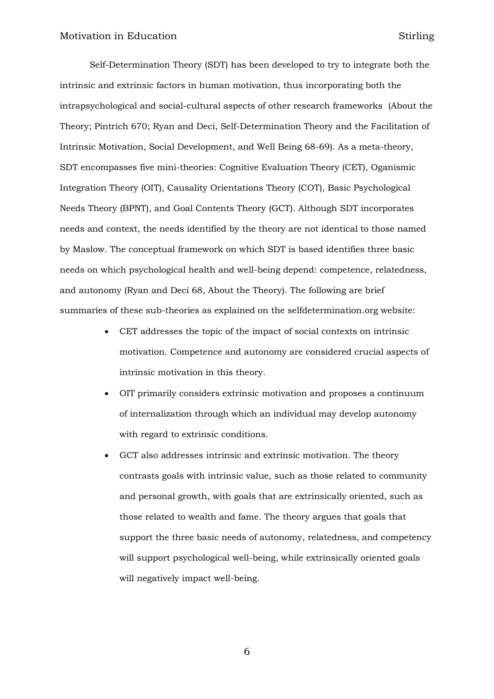Self-Determination Theory (SDT) has been developed to try to integrate both the intrinsic and extrinsic factors in human motivation, thus incorporating both the intrapsychological and social-cultural aspects of other research frameworks (About the Theory; Pintrich 670; Ryan and Deci, Self-Determination Theory and the Facilitation of Intrinsic Motivation, Social Development, and Well Being 68-69). As a meta-theory, SDT encompasses five mini-theories: Cognitive Evaluation Theory (CET), Oganismic Integration Theory (OIT), Causality Orientations Theory (COT), Basic Psychological Needs Theory (BPNT), and Goal Contents Theory (GCT). Although SDT incorporates needs and context, the needs identified by the theory are not identical to those named by Maslow. The conceptual framework on which SDT is based identifies three basic needs on which psychological health and well-being depend: competence, relatedness, and autonomy (Ryan and Deci 68, About the Theory). The following are brief summaries of these sub-theories as explained on the selfdetermination.org website:

- CET addresses the topic of the impact of social contexts on intrinsic motivation. Competence and autonomy are considered crucial aspects of intrinsic motivation in this theory.
- OIT primarily considers extrinsic motivation and proposes a continuum of internalization through which an individual may develop autonomy with regard to extrinsic conditions.
- GCT also addresses intrinsic and extrinsic motivation. The theory contrasts goals with intrinsic value, such as those related to community and personal growth, with goals that are extrinsically oriented, such as those related to wealth and fame. The theory argues that goals that support the three basic needs of autonomy, relatedness, and competency will support psychological well-being, while extrinsically oriented goals will negatively impact well-being.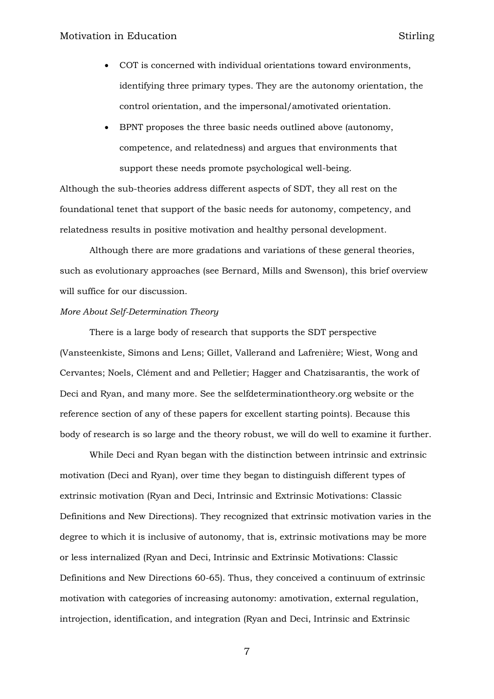- COT is concerned with individual orientations toward environments, identifying three primary types. They are the autonomy orientation, the control orientation, and the impersonal/amotivated orientation.
- BPNT proposes the three basic needs outlined above (autonomy, competence, and relatedness) and argues that environments that support these needs promote psychological well-being.

Although the sub-theories address different aspects of SDT, they all rest on the foundational tenet that support of the basic needs for autonomy, competency, and relatedness results in positive motivation and healthy personal development.

Although there are more gradations and variations of these general theories, such as evolutionary approaches (see Bernard, Mills and Swenson), this brief overview will suffice for our discussion.

#### *More About Self-Determination Theory*

There is a large body of research that supports the SDT perspective (Vansteenkiste, Simons and Lens; Gillet, Vallerand and Lafrenière; Wiest, Wong and Cervantes; Noels, Clément and and Pelletier; Hagger and Chatzisarantis, the work of Deci and Ryan, and many more. See the selfdeterminationtheory.org website or the reference section of any of these papers for excellent starting points). Because this body of research is so large and the theory robust, we will do well to examine it further.

While Deci and Ryan began with the distinction between intrinsic and extrinsic motivation (Deci and Ryan), over time they began to distinguish different types of extrinsic motivation (Ryan and Deci, Intrinsic and Extrinsic Motivations: Classic Definitions and New Directions). They recognized that extrinsic motivation varies in the degree to which it is inclusive of autonomy, that is, extrinsic motivations may be more or less internalized (Ryan and Deci, Intrinsic and Extrinsic Motivations: Classic Definitions and New Directions 60-65). Thus, they conceived a continuum of extrinsic motivation with categories of increasing autonomy: amotivation, external regulation, introjection, identification, and integration (Ryan and Deci, Intrinsic and Extrinsic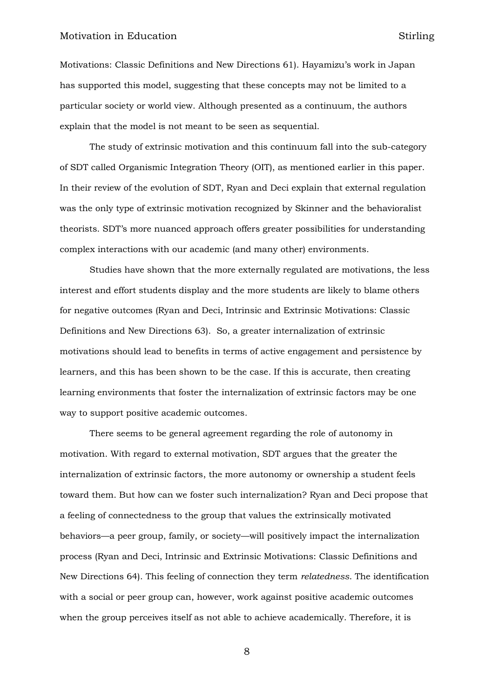Motivations: Classic Definitions and New Directions 61). Hayamizu's work in Japan has supported this model, suggesting that these concepts may not be limited to a particular society or world view. Although presented as a continuum, the authors explain that the model is not meant to be seen as sequential.

The study of extrinsic motivation and this continuum fall into the sub-category of SDT called Organismic Integration Theory (OIT), as mentioned earlier in this paper. In their review of the evolution of SDT, Ryan and Deci explain that external regulation was the only type of extrinsic motivation recognized by Skinner and the behavioralist theorists. SDT's more nuanced approach offers greater possibilities for understanding complex interactions with our academic (and many other) environments.

Studies have shown that the more externally regulated are motivations, the less interest and effort students display and the more students are likely to blame others for negative outcomes (Ryan and Deci, Intrinsic and Extrinsic Motivations: Classic Definitions and New Directions 63). So, a greater internalization of extrinsic motivations should lead to benefits in terms of active engagement and persistence by learners, and this has been shown to be the case. If this is accurate, then creating learning environments that foster the internalization of extrinsic factors may be one way to support positive academic outcomes.

There seems to be general agreement regarding the role of autonomy in motivation. With regard to external motivation, SDT argues that the greater the internalization of extrinsic factors, the more autonomy or ownership a student feels toward them. But how can we foster such internalization? Ryan and Deci propose that a feeling of connectedness to the group that values the extrinsically motivated behaviors—a peer group, family, or society—will positively impact the internalization process (Ryan and Deci, Intrinsic and Extrinsic Motivations: Classic Definitions and New Directions 64). This feeling of connection they term *relatedness*. The identification with a social or peer group can, however, work against positive academic outcomes when the group perceives itself as not able to achieve academically. Therefore, it is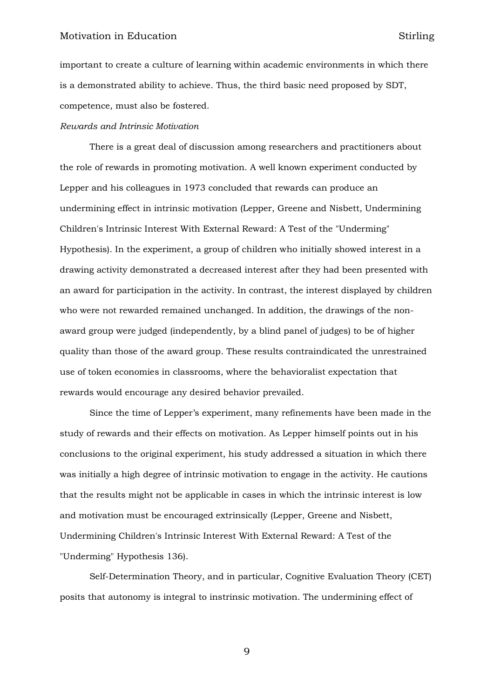important to create a culture of learning within academic environments in which there is a demonstrated ability to achieve. Thus, the third basic need proposed by SDT, competence, must also be fostered.

#### *Rewards and Intrinsic Motivation*

There is a great deal of discussion among researchers and practitioners about the role of rewards in promoting motivation. A well known experiment conducted by Lepper and his colleagues in 1973 concluded that rewards can produce an undermining effect in intrinsic motivation (Lepper, Greene and Nisbett, Undermining Children's Intrinsic Interest With External Reward: A Test of the "Underming" Hypothesis). In the experiment, a group of children who initially showed interest in a drawing activity demonstrated a decreased interest after they had been presented with an award for participation in the activity. In contrast, the interest displayed by children who were not rewarded remained unchanged. In addition, the drawings of the nonaward group were judged (independently, by a blind panel of judges) to be of higher quality than those of the award group. These results contraindicated the unrestrained use of token economies in classrooms, where the behavioralist expectation that rewards would encourage any desired behavior prevailed.

Since the time of Lepper's experiment, many refinements have been made in the study of rewards and their effects on motivation. As Lepper himself points out in his conclusions to the original experiment, his study addressed a situation in which there was initially a high degree of intrinsic motivation to engage in the activity. He cautions that the results might not be applicable in cases in which the intrinsic interest is low and motivation must be encouraged extrinsically (Lepper, Greene and Nisbett, Undermining Children's Intrinsic Interest With External Reward: A Test of the "Underming" Hypothesis 136).

Self-Determination Theory, and in particular, Cognitive Evaluation Theory (CET) posits that autonomy is integral to instrinsic motivation. The undermining effect of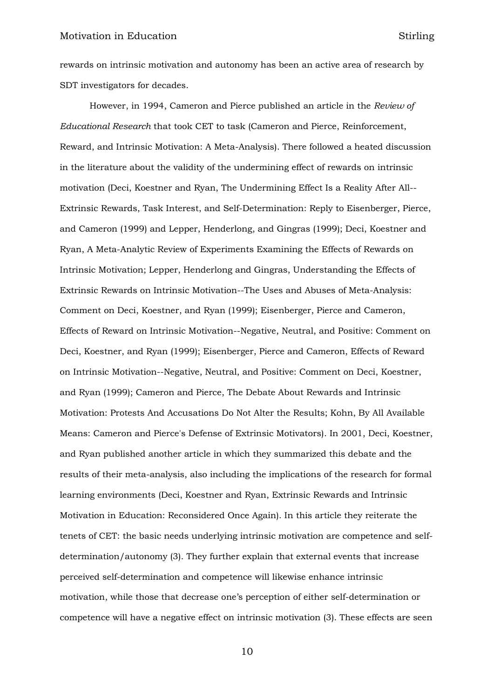rewards on intrinsic motivation and autonomy has been an active area of research by SDT investigators for decades.

However, in 1994, Cameron and Pierce published an article in the *Review of Educational Research* that took CET to task (Cameron and Pierce, Reinforcement, Reward, and Intrinsic Motivation: A Meta-Analysis). There followed a heated discussion in the literature about the validity of the undermining effect of rewards on intrinsic motivation (Deci, Koestner and Ryan, The Undermining Effect Is a Reality After All-- Extrinsic Rewards, Task Interest, and Self-Determination: Reply to Eisenberger, Pierce, and Cameron (1999) and Lepper, Henderlong, and Gingras (1999); Deci, Koestner and Ryan, A Meta-Analytic Review of Experiments Examining the Effects of Rewards on Intrinsic Motivation; Lepper, Henderlong and Gingras, Understanding the Effects of Extrinsic Rewards on Intrinsic Motivation--The Uses and Abuses of Meta-Analysis: Comment on Deci, Koestner, and Ryan (1999); Eisenberger, Pierce and Cameron, Effects of Reward on Intrinsic Motivation--Negative, Neutral, and Positive: Comment on Deci, Koestner, and Ryan (1999); Eisenberger, Pierce and Cameron, Effects of Reward on Intrinsic Motivation--Negative, Neutral, and Positive: Comment on Deci, Koestner, and Ryan (1999); Cameron and Pierce, The Debate About Rewards and Intrinsic Motivation: Protests And Accusations Do Not Alter the Results; Kohn, By All Available Means: Cameron and Pierce's Defense of Extrinsic Motivators). In 2001, Deci, Koestner, and Ryan published another article in which they summarized this debate and the results of their meta-analysis, also including the implications of the research for formal learning environments (Deci, Koestner and Ryan, Extrinsic Rewards and Intrinsic Motivation in Education: Reconsidered Once Again). In this article they reiterate the tenets of CET: the basic needs underlying intrinsic motivation are competence and selfdetermination/autonomy (3). They further explain that external events that increase perceived self-determination and competence will likewise enhance intrinsic motivation, while those that decrease one's perception of either self-determination or competence will have a negative effect on intrinsic motivation (3). These effects are seen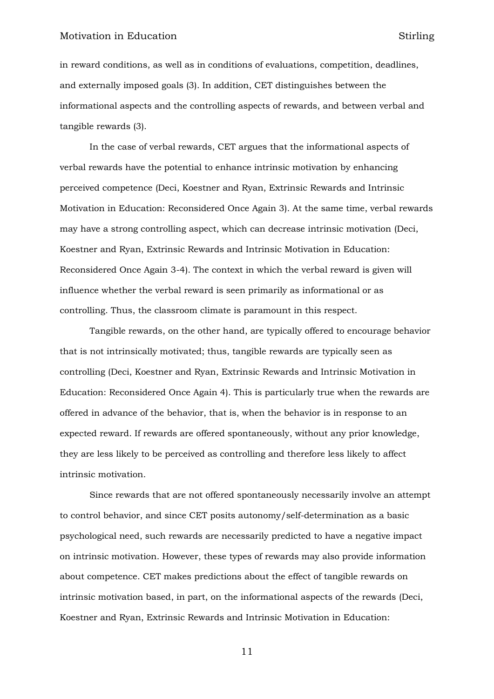in reward conditions, as well as in conditions of evaluations, competition, deadlines, and externally imposed goals (3). In addition, CET distinguishes between the informational aspects and the controlling aspects of rewards, and between verbal and tangible rewards (3).

In the case of verbal rewards, CET argues that the informational aspects of verbal rewards have the potential to enhance intrinsic motivation by enhancing perceived competence (Deci, Koestner and Ryan, Extrinsic Rewards and Intrinsic Motivation in Education: Reconsidered Once Again 3). At the same time, verbal rewards may have a strong controlling aspect, which can decrease intrinsic motivation (Deci, Koestner and Ryan, Extrinsic Rewards and Intrinsic Motivation in Education: Reconsidered Once Again 3-4). The context in which the verbal reward is given will influence whether the verbal reward is seen primarily as informational or as controlling. Thus, the classroom climate is paramount in this respect.

Tangible rewards, on the other hand, are typically offered to encourage behavior that is not intrinsically motivated; thus, tangible rewards are typically seen as controlling (Deci, Koestner and Ryan, Extrinsic Rewards and Intrinsic Motivation in Education: Reconsidered Once Again 4). This is particularly true when the rewards are offered in advance of the behavior, that is, when the behavior is in response to an expected reward. If rewards are offered spontaneously, without any prior knowledge, they are less likely to be perceived as controlling and therefore less likely to affect intrinsic motivation.

Since rewards that are not offered spontaneously necessarily involve an attempt to control behavior, and since CET posits autonomy/self-determination as a basic psychological need, such rewards are necessarily predicted to have a negative impact on intrinsic motivation. However, these types of rewards may also provide information about competence. CET makes predictions about the effect of tangible rewards on intrinsic motivation based, in part, on the informational aspects of the rewards (Deci, Koestner and Ryan, Extrinsic Rewards and Intrinsic Motivation in Education: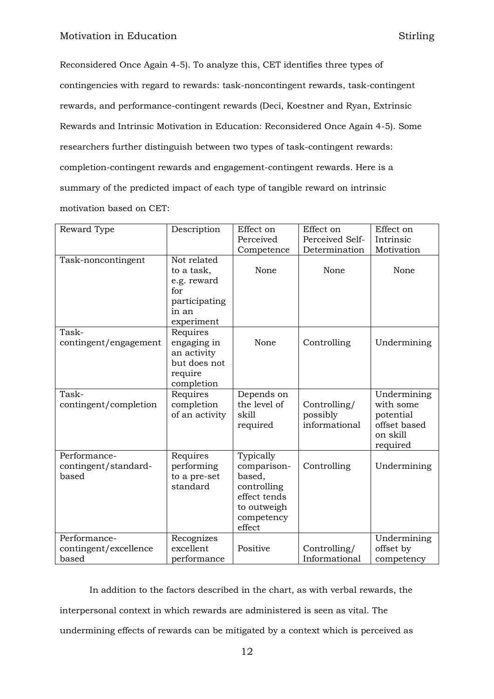Reconsidered Once Again 4-5). To analyze this, CET identifies three types of contingencies with regard to rewards: task-noncontingent rewards, task-contingent rewards, and performance-contingent rewards (Deci, Koestner and Ryan, Extrinsic Rewards and Intrinsic Motivation in Education: Reconsidered Once Again 4-5). Some researchers further distinguish between two types of task-contingent rewards: completion-contingent rewards and engagement-contingent rewards. Here is a summary of the predicted impact of each type of tangible reward on intrinsic motivation based on CET:

| Reward Type                                    | Description                                                                             | Effect on                                                                                                | Effect on                                 | Effect on                                                                     |
|------------------------------------------------|-----------------------------------------------------------------------------------------|----------------------------------------------------------------------------------------------------------|-------------------------------------------|-------------------------------------------------------------------------------|
|                                                |                                                                                         | Perceived                                                                                                | Perceived Self-                           | Intrinsic                                                                     |
|                                                |                                                                                         | Competence                                                                                               | Determination                             | Motivation                                                                    |
| Task-noncontingent                             | Not related<br>to a task,<br>e.g. reward<br>for<br>participating<br>in an<br>experiment | None                                                                                                     | None                                      | None                                                                          |
| Task-<br>contingent/engagement                 | Requires<br>engaging in<br>an activity<br>but does not<br>require<br>completion         | None                                                                                                     | Controlling                               | Undermining                                                                   |
| Task-<br>contingent/completion                 | Requires<br>completion<br>of an activity                                                | Depends on<br>the level of<br>skill<br>required                                                          | Controlling/<br>possibly<br>informational | Undermining<br>with some<br>potential<br>offset based<br>on skill<br>required |
| Performance-<br>contingent/standard-<br>based  | Requires<br>performing<br>to a pre-set<br>standard                                      | Typically<br>comparison-<br>based,<br>controlling<br>effect tends<br>to outweigh<br>competency<br>effect | Controlling                               | Undermining                                                                   |
| Performance-<br>contingent/excellence<br>based | Recognizes<br>excellent<br>performance                                                  | Positive                                                                                                 | Controlling/<br>Informational             | Undermining<br>offset by<br>competency                                        |

In addition to the factors described in the chart, as with verbal rewards, the interpersonal context in which rewards are administered is seen as vital. The undermining effects of rewards can be mitigated by a context which is perceived as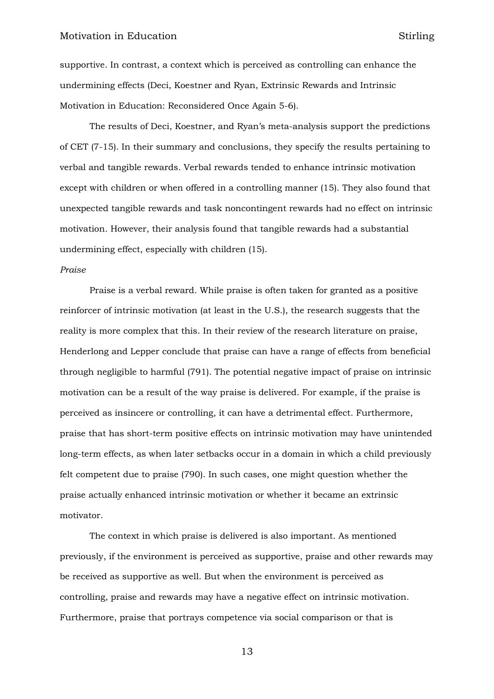supportive. In contrast, a context which is perceived as controlling can enhance the undermining effects (Deci, Koestner and Ryan, Extrinsic Rewards and Intrinsic Motivation in Education: Reconsidered Once Again 5-6).

The results of Deci, Koestner, and Ryan's meta-analysis support the predictions of CET (7-15). In their summary and conclusions, they specify the results pertaining to verbal and tangible rewards. Verbal rewards tended to enhance intrinsic motivation except with children or when offered in a controlling manner (15). They also found that unexpected tangible rewards and task noncontingent rewards had no effect on intrinsic motivation. However, their analysis found that tangible rewards had a substantial undermining effect, especially with children (15).

#### *Praise*

Praise is a verbal reward. While praise is often taken for granted as a positive reinforcer of intrinsic motivation (at least in the U.S.), the research suggests that the reality is more complex that this. In their review of the research literature on praise, Henderlong and Lepper conclude that praise can have a range of effects from beneficial through negligible to harmful (791). The potential negative impact of praise on intrinsic motivation can be a result of the way praise is delivered. For example, if the praise is perceived as insincere or controlling, it can have a detrimental effect. Furthermore, praise that has short-term positive effects on intrinsic motivation may have unintended long-term effects, as when later setbacks occur in a domain in which a child previously felt competent due to praise (790). In such cases, one might question whether the praise actually enhanced intrinsic motivation or whether it became an extrinsic motivator.

The context in which praise is delivered is also important. As mentioned previously, if the environment is perceived as supportive, praise and other rewards may be received as supportive as well. But when the environment is perceived as controlling, praise and rewards may have a negative effect on intrinsic motivation. Furthermore, praise that portrays competence via social comparison or that is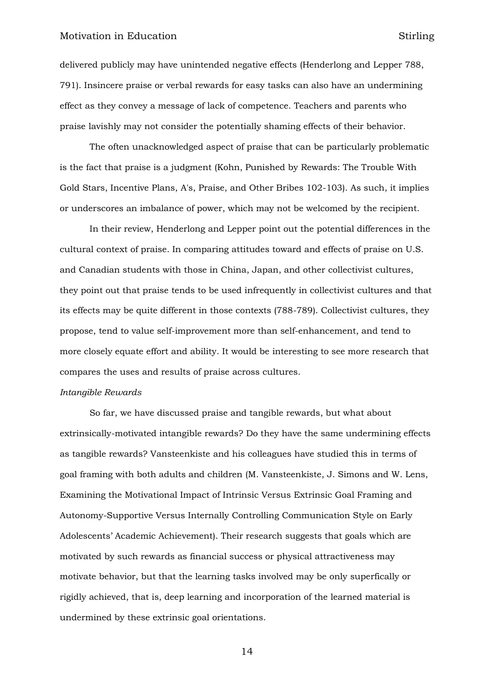delivered publicly may have unintended negative effects (Henderlong and Lepper 788, 791). Insincere praise or verbal rewards for easy tasks can also have an undermining effect as they convey a message of lack of competence. Teachers and parents who praise lavishly may not consider the potentially shaming effects of their behavior.

The often unacknowledged aspect of praise that can be particularly problematic is the fact that praise is a judgment (Kohn, Punished by Rewards: The Trouble With Gold Stars, Incentive Plans, A's, Praise, and Other Bribes 102-103). As such, it implies or underscores an imbalance of power, which may not be welcomed by the recipient.

In their review, Henderlong and Lepper point out the potential differences in the cultural context of praise. In comparing attitudes toward and effects of praise on U.S. and Canadian students with those in China, Japan, and other collectivist cultures, they point out that praise tends to be used infrequently in collectivist cultures and that its effects may be quite different in those contexts (788-789). Collectivist cultures, they propose, tend to value self-improvement more than self-enhancement, and tend to more closely equate effort and ability. It would be interesting to see more research that compares the uses and results of praise across cultures.

#### *Intangible Rewards*

So far, we have discussed praise and tangible rewards, but what about extrinsically-motivated intangible rewards? Do they have the same undermining effects as tangible rewards? Vansteenkiste and his colleagues have studied this in terms of goal framing with both adults and children (M. Vansteenkiste, J. Simons and W. Lens, Examining the Motivational Impact of Intrinsic Versus Extrinsic Goal Framing and Autonomy-Supportive Versus Internally Controlling Communication Style on Early Adolescents' Academic Achievement). Their research suggests that goals which are motivated by such rewards as financial success or physical attractiveness may motivate behavior, but that the learning tasks involved may be only superfically or rigidly achieved, that is, deep learning and incorporation of the learned material is undermined by these extrinsic goal orientations.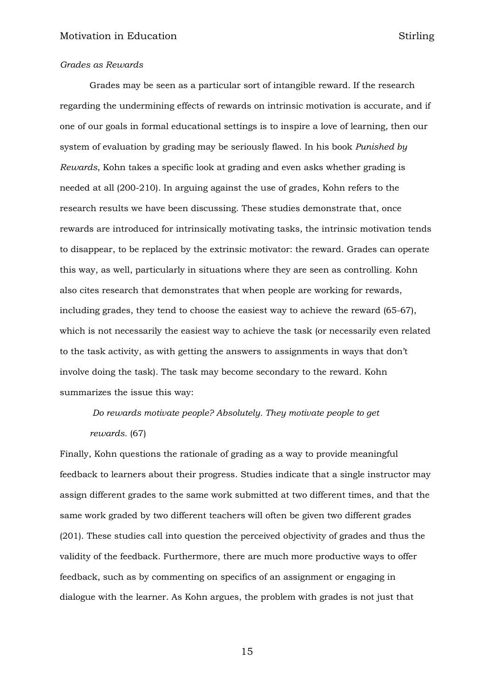#### *Grades as Rewards*

Grades may be seen as a particular sort of intangible reward. If the research regarding the undermining effects of rewards on intrinsic motivation is accurate, and if one of our goals in formal educational settings is to inspire a love of learning, then our system of evaluation by grading may be seriously flawed. In his book *Punished by Rewards*, Kohn takes a specific look at grading and even asks whether grading is needed at all (200-210). In arguing against the use of grades, Kohn refers to the research results we have been discussing. These studies demonstrate that, once rewards are introduced for intrinsically motivating tasks, the intrinsic motivation tends to disappear, to be replaced by the extrinsic motivator: the reward. Grades can operate this way, as well, particularly in situations where they are seen as controlling. Kohn also cites research that demonstrates that when people are working for rewards, including grades, they tend to choose the easiest way to achieve the reward (65-67), which is not necessarily the easiest way to achieve the task (or necessarily even related to the task activity, as with getting the answers to assignments in ways that don't involve doing the task). The task may become secondary to the reward. Kohn summarizes the issue this way:

*Do rewards motivate people? Absolutely. They motivate people to get rewards.* (67)

Finally, Kohn questions the rationale of grading as a way to provide meaningful feedback to learners about their progress. Studies indicate that a single instructor may assign different grades to the same work submitted at two different times, and that the same work graded by two different teachers will often be given two different grades (201). These studies call into question the perceived objectivity of grades and thus the validity of the feedback. Furthermore, there are much more productive ways to offer feedback, such as by commenting on specifics of an assignment or engaging in dialogue with the learner. As Kohn argues, the problem with grades is not just that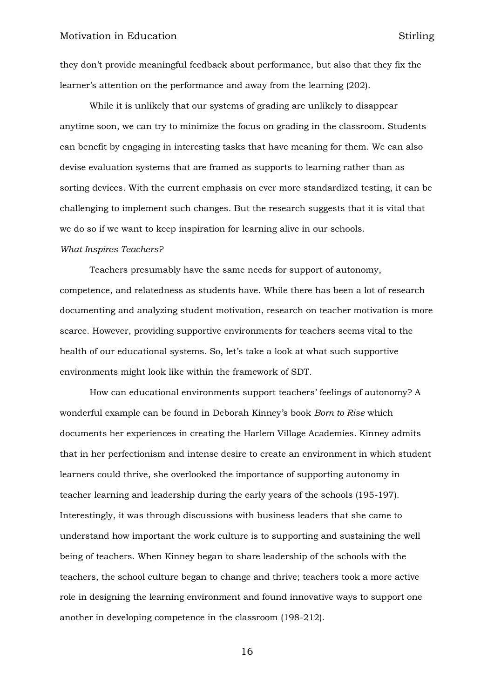they don't provide meaningful feedback about performance, but also that they fix the learner's attention on the performance and away from the learning (202).

While it is unlikely that our systems of grading are unlikely to disappear anytime soon, we can try to minimize the focus on grading in the classroom. Students can benefit by engaging in interesting tasks that have meaning for them. We can also devise evaluation systems that are framed as supports to learning rather than as sorting devices. With the current emphasis on ever more standardized testing, it can be challenging to implement such changes. But the research suggests that it is vital that we do so if we want to keep inspiration for learning alive in our schools.

#### *What Inspires Teachers?*

Teachers presumably have the same needs for support of autonomy, competence, and relatedness as students have. While there has been a lot of research documenting and analyzing student motivation, research on teacher motivation is more scarce. However, providing supportive environments for teachers seems vital to the health of our educational systems. So, let's take a look at what such supportive environments might look like within the framework of SDT.

How can educational environments support teachers' feelings of autonomy? A wonderful example can be found in Deborah Kinney's book *Born to Rise* which documents her experiences in creating the Harlem Village Academies. Kinney admits that in her perfectionism and intense desire to create an environment in which student learners could thrive, she overlooked the importance of supporting autonomy in teacher learning and leadership during the early years of the schools (195-197). Interestingly, it was through discussions with business leaders that she came to understand how important the work culture is to supporting and sustaining the well being of teachers. When Kinney began to share leadership of the schools with the teachers, the school culture began to change and thrive; teachers took a more active role in designing the learning environment and found innovative ways to support one another in developing competence in the classroom (198-212).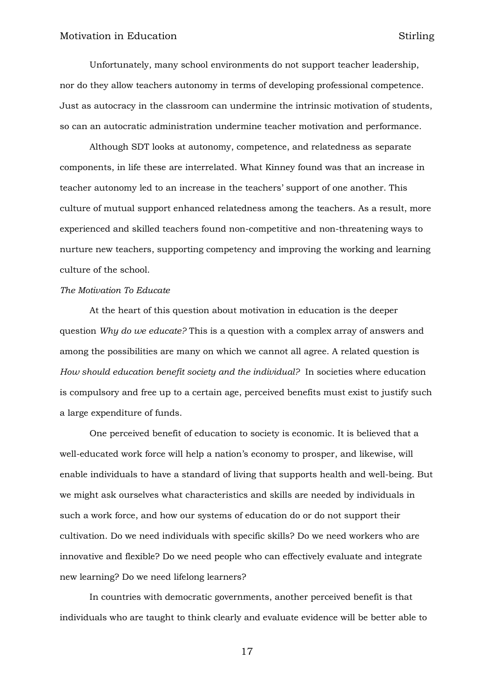Unfortunately, many school environments do not support teacher leadership, nor do they allow teachers autonomy in terms of developing professional competence. Just as autocracy in the classroom can undermine the intrinsic motivation of students, so can an autocratic administration undermine teacher motivation and performance.

Although SDT looks at autonomy, competence, and relatedness as separate components, in life these are interrelated. What Kinney found was that an increase in teacher autonomy led to an increase in the teachers' support of one another. This culture of mutual support enhanced relatedness among the teachers. As a result, more experienced and skilled teachers found non-competitive and non-threatening ways to nurture new teachers, supporting competency and improving the working and learning culture of the school.

# *The Motivation To Educate*

At the heart of this question about motivation in education is the deeper question *Why do we educate?* This is a question with a complex array of answers and among the possibilities are many on which we cannot all agree. A related question is *How should education benefit society and the individual?* In societies where education is compulsory and free up to a certain age, perceived benefits must exist to justify such a large expenditure of funds.

One perceived benefit of education to society is economic. It is believed that a well-educated work force will help a nation's economy to prosper, and likewise, will enable individuals to have a standard of living that supports health and well-being. But we might ask ourselves what characteristics and skills are needed by individuals in such a work force, and how our systems of education do or do not support their cultivation. Do we need individuals with specific skills? Do we need workers who are innovative and flexible? Do we need people who can effectively evaluate and integrate new learning? Do we need lifelong learners?

In countries with democratic governments, another perceived benefit is that individuals who are taught to think clearly and evaluate evidence will be better able to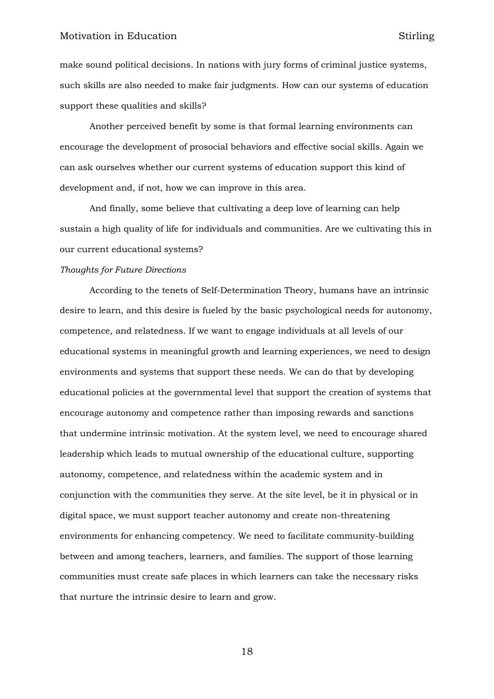make sound political decisions. In nations with jury forms of criminal justice systems, such skills are also needed to make fair judgments. How can our systems of education support these qualities and skills?

Another perceived benefit by some is that formal learning environments can encourage the development of prosocial behaviors and effective social skills. Again we can ask ourselves whether our current systems of education support this kind of development and, if not, how we can improve in this area.

And finally, some believe that cultivating a deep love of learning can help sustain a high quality of life for individuals and communities. Are we cultivating this in our current educational systems?

#### *Thoughts for Future Directions*

According to the tenets of Self-Determination Theory, humans have an intrinsic desire to learn, and this desire is fueled by the basic psychological needs for autonomy, competence, and relatedness. If we want to engage individuals at all levels of our educational systems in meaningful growth and learning experiences, we need to design environments and systems that support these needs. We can do that by developing educational policies at the governmental level that support the creation of systems that encourage autonomy and competence rather than imposing rewards and sanctions that undermine intrinsic motivation. At the system level, we need to encourage shared leadership which leads to mutual ownership of the educational culture, supporting autonomy, competence, and relatedness within the academic system and in conjunction with the communities they serve. At the site level, be it in physical or in digital space, we must support teacher autonomy and create non-threatening environments for enhancing competency. We need to facilitate community-building between and among teachers, learners, and families. The support of those learning communities must create safe places in which learners can take the necessary risks that nurture the intrinsic desire to learn and grow.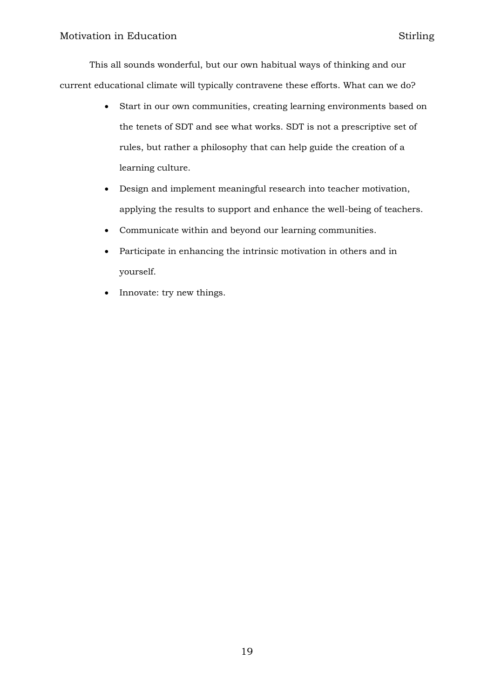This all sounds wonderful, but our own habitual ways of thinking and our current educational climate will typically contravene these efforts. What can we do?

- Start in our own communities, creating learning environments based on the tenets of SDT and see what works. SDT is not a prescriptive set of rules, but rather a philosophy that can help guide the creation of a learning culture.
- Design and implement meaningful research into teacher motivation, applying the results to support and enhance the well-being of teachers.
- Communicate within and beyond our learning communities.
- Participate in enhancing the intrinsic motivation in others and in yourself.
- Innovate: try new things.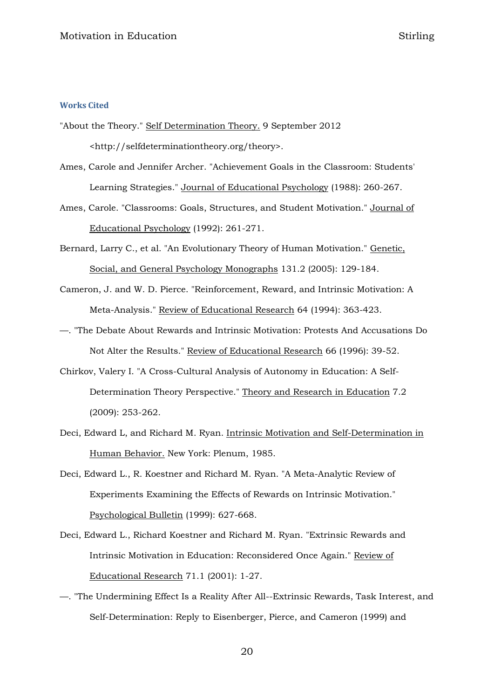## **Works Cited**

- "About the Theory." Self Determination Theory. 9 September 2012 <http://selfdeterminationtheory.org/theory>.
- Ames, Carole and Jennifer Archer. "Achievement Goals in the Classroom: Students' Learning Strategies." Journal of Educational Psychology (1988): 260-267.
- Ames, Carole. "Classrooms: Goals, Structures, and Student Motivation." Journal of Educational Psychology (1992): 261-271.
- Bernard, Larry C., et al. "An Evolutionary Theory of Human Motivation." Genetic, Social, and General Psychology Monographs 131.2 (2005): 129-184.
- Cameron, J. and W. D. Pierce. "Reinforcement, Reward, and Intrinsic Motivation: A Meta-Analysis." Review of Educational Research 64 (1994): 363-423.
- —. "The Debate About Rewards and Intrinsic Motivation: Protests And Accusations Do Not Alter the Results." Review of Educational Research 66 (1996): 39-52.
- Chirkov, Valery I. "A Cross-Cultural Analysis of Autonomy in Education: A Self-Determination Theory Perspective." Theory and Research in Education 7.2 (2009): 253-262.
- Deci, Edward L, and Richard M. Ryan. Intrinsic Motivation and Self-Determination in Human Behavior. New York: Plenum, 1985.
- Deci, Edward L., R. Koestner and Richard M. Ryan. "A Meta-Analytic Review of Experiments Examining the Effects of Rewards on Intrinsic Motivation." Psychological Bulletin (1999): 627-668.
- Deci, Edward L., Richard Koestner and Richard M. Ryan. "Extrinsic Rewards and Intrinsic Motivation in Education: Reconsidered Once Again." Review of Educational Research 71.1 (2001): 1-27.
- —. "The Undermining Effect Is a Reality After All--Extrinsic Rewards, Task Interest, and Self-Determination: Reply to Eisenberger, Pierce, and Cameron (1999) and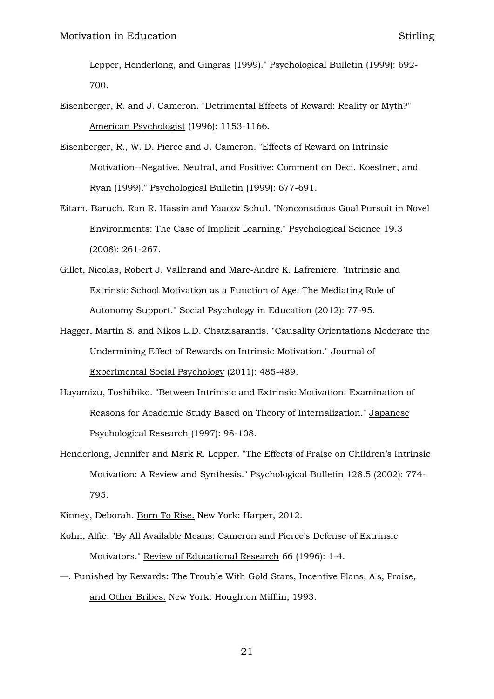Lepper, Henderlong, and Gingras (1999)." Psychological Bulletin (1999): 692- 700.

- Eisenberger, R. and J. Cameron. "Detrimental Effects of Reward: Reality or Myth?" American Psychologist (1996): 1153-1166.
- Eisenberger, R., W. D. Pierce and J. Cameron. "Effects of Reward on Intrinsic Motivation--Negative, Neutral, and Positive: Comment on Deci, Koestner, and Ryan (1999)." Psychological Bulletin (1999): 677-691.
- Eitam, Baruch, Ran R. Hassin and Yaacov Schul. "Nonconscious Goal Pursuit in Novel Environments: The Case of Implicit Learning." Psychological Science 19.3 (2008): 261-267.
- Gillet, Nicolas, Robert J. Vallerand and Marc-André K. Lafrenière. "Intrinsic and Extrinsic School Motivation as a Function of Age: The Mediating Role of Autonomy Support." Social Psychology in Education (2012): 77-95.
- Hagger, Martin S. and Nikos L.D. Chatzisarantis. "Causality Orientations Moderate the Undermining Effect of Rewards on Intrinsic Motivation." Journal of Experimental Social Psychology (2011): 485-489.
- Hayamizu, Toshihiko. "Between Intrinisic and Extrinsic Motivation: Examination of Reasons for Academic Study Based on Theory of Internalization." Japanese Psychological Research (1997): 98-108.
- Henderlong, Jennifer and Mark R. Lepper. "The Effects of Praise on Children's Intrinsic Motivation: A Review and Synthesis." Psychological Bulletin 128.5 (2002): 774- 795.
- Kinney, Deborah. Born To Rise. New York: Harper, 2012.
- Kohn, Alfie. "By All Available Means: Cameron and Pierce's Defense of Extrinsic Motivators." Review of Educational Research 66 (1996): 1-4.
- —. Punished by Rewards: The Trouble With Gold Stars, Incentive Plans, A's, Praise, and Other Bribes. New York: Houghton Mifflin, 1993.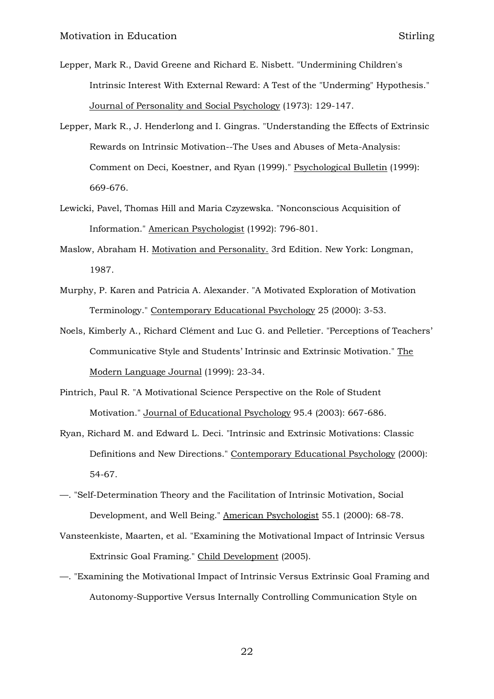- Lepper, Mark R., David Greene and Richard E. Nisbett. "Undermining Children's Intrinsic Interest With External Reward: A Test of the "Underming" Hypothesis." Journal of Personality and Social Psychology (1973): 129-147.
- Lepper, Mark R., J. Henderlong and I. Gingras. "Understanding the Effects of Extrinsic Rewards on Intrinsic Motivation--The Uses and Abuses of Meta-Analysis: Comment on Deci, Koestner, and Ryan (1999)." Psychological Bulletin (1999): 669-676.
- Lewicki, Pavel, Thomas Hill and Maria Czyzewska. "Nonconscious Acquisition of Information." American Psychologist (1992): 796-801.
- Maslow, Abraham H. Motivation and Personality. 3rd Edition. New York: Longman, 1987.
- Murphy, P. Karen and Patricia A. Alexander. "A Motivated Exploration of Motivation Terminology." Contemporary Educational Psychology 25 (2000): 3-53.
- Noels, Kimberly A., Richard Clément and Luc G. and Pelletier. "Perceptions of Teachers' Communicative Style and Students' Intrinsic and Extrinsic Motivation." The Modern Language Journal (1999): 23-34.
- Pintrich, Paul R. "A Motivational Science Perspective on the Role of Student Motivation." Journal of Educational Psychology 95.4 (2003): 667-686.
- Ryan, Richard M. and Edward L. Deci. "Intrinsic and Extrinsic Motivations: Classic Definitions and New Directions." Contemporary Educational Psychology (2000): 54-67.
- —. "Self-Determination Theory and the Facilitation of Intrinsic Motivation, Social Development, and Well Being." American Psychologist 55.1 (2000): 68-78.
- Vansteenkiste, Maarten, et al. "Examining the Motivational Impact of Intrinsic Versus Extrinsic Goal Framing." Child Development (2005).
- —. "Examining the Motivational Impact of Intrinsic Versus Extrinsic Goal Framing and Autonomy-Supportive Versus Internally Controlling Communication Style on